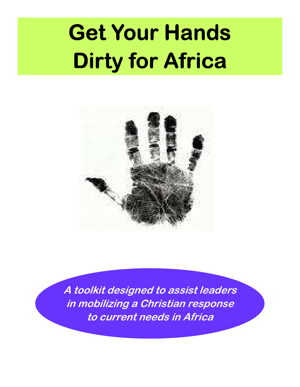# **Get Your Hands Dirty for Africa**



**A toolkit designed to assist leaders in mobilizing a Christian response to current needs in Africa**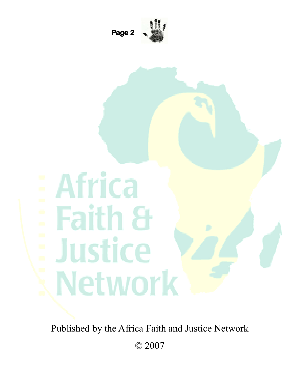

# Africa **Faith &** Justice Network

Published by the Africa Faith and Justice Network

© 2007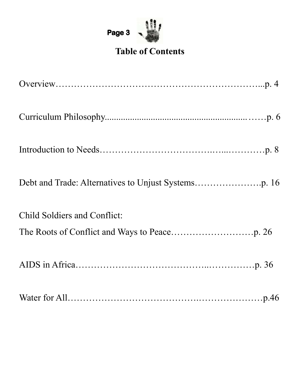

### Table of Contents

| <b>Child Soldiers and Conflict:</b> |
|-------------------------------------|
|                                     |
|                                     |
|                                     |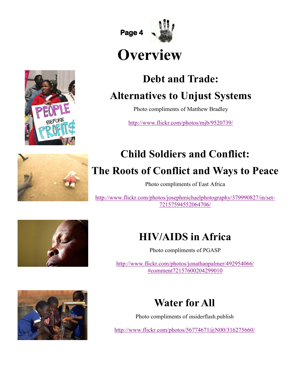

### **Overview**



### Debt and Trade:

### Alternatives to Unjust Systems

Photo compliments of Matthew Bradley

http://www.flickr.com/photos/mjb/9520739/



## Child Soldiers and Conflict:

### The Roots of Conflict and Ways to Peace

Photo compliments of East Africa

http://www.flickr.com/photos/josephmichaelphotography/379990827/in/set-72157594552064706/



### HIV/AIDS in Africa

Photo compliments of PGASP

http://www.flickr.com/photos/jonathanpalmer/492954066/ #comment72157600204299010



### Water for All

Photo compliments of insiderflash.publish

http://www.flickr.com/photos/56774671@N00/316275660/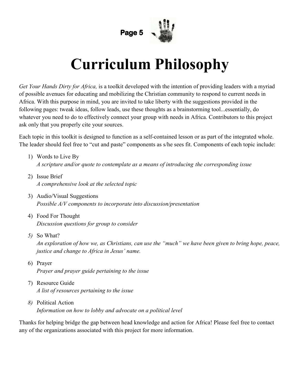**Page 5** 



## Curriculum Philosophy

Get Your Hands Dirty for Africa, is a toolkit developed with the intention of providing leaders with a myriad of possible avenues for educating and mobilizing the Christian community to respond to current needs in Africa. With this purpose in mind, you are invited to take liberty with the suggestions provided in the following pages: tweak ideas, follow leads, use these thoughts as a brainstorming tool...essentially, do whatever you need to do to effectively connect your group with needs in Africa. Contributors to this project ask only that you properly cite your sources.

Each topic in this toolkit is designed to function as a self-contained lesson or as part of the integrated whole. The leader should feel free to "cut and paste" components as s/he sees fit. Components of each topic include:

- 1) Words to Live By A scripture and/or quote to contemplate as a means of introducing the corresponding issue
- 2) Issue Brief A comprehensive look at the selected topic
- 3) Audio/Visual Suggestions Possible A/V components to incorporate into discussion/presentation
- 4) Food For Thought Discussion questions for group to consider
- 5) So What?

An exploration of how we, as Christians, can use the "much" we have been given to bring hope, peace, justice and change to Africa in Jesus' name.

- 6) Prayer Prayer and prayer guide pertaining to the issue
- 7) Resource Guide A list of resources pertaining to the issue
- 8) Political Action Information on how to lobby and advocate on a political level

Thanks for helping bridge the gap between head knowledge and action for Africa! Please feel free to contact any of the organizations associated with this project for more information.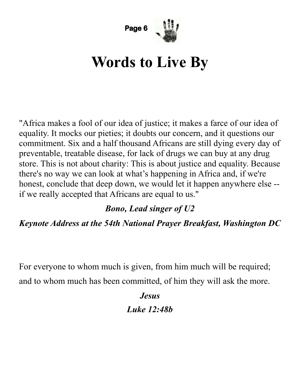

## Words to Live By

"Africa makes a fool of our idea of justice; it makes a farce of our idea of equality. It mocks our pieties; it doubts our concern, and it questions our commitment. Six and a half thousand Africans are still dying every day of preventable, treatable disease, for lack of drugs we can buy at any drug store. This is not about charity: This is about justice and equality. Because there's no way we can look at what's happening in Africa and, if we're honest, conclude that deep down, we would let it happen anywhere else - if we really accepted that Africans are equal to us."

### Bono, Lead singer of U2

Keynote Address at the 54th National Prayer Breakfast, Washington DC

For everyone to whom much is given, from him much will be required; and to whom much has been committed, of him they will ask the more.

> *Jesus* Luke 12:48b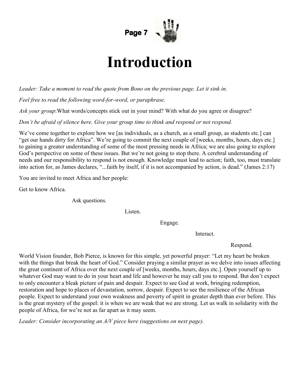

### Introduction

Leader: Take a moment to read the quote from Bono on the previous page. Let it sink in.

Feel free to read the following word-for-word, or paraphrase.

Ask your group: What words/concepts stick out in your mind? With what do you agree or disagree?

Don't be afraid of silence here. Give your group time to think and respond or not respond.

We've come together to explore how we [as individuals, as a church, as a small group, as students etc.] can "get our hands dirty for Africa". We're going to commit the next couple of [weeks, months, hours, days etc.] to gaining a greater understanding of some of the most pressing needs in Africa; we are also going to explore God's perspective on some of these issues. But we're not going to stop there. A cerebral understanding of needs and our responsibility to respond is not enough. Knowledge must lead to action; faith, too, must translate into action for, as James declares, "...faith by itself, if it is not accompanied by action, is dead." (James 2:17)

You are invited to meet Africa and her people:

Get to know Africa.

Ask questions.

Listen.

Engage.

Interact.

Respond.

World Vision founder, Bob Pierce, is known for this simple, yet powerful prayer: "Let my heart be broken with the things that break the heart of God." Consider praying a similar prayer as we delve into issues affecting the great continent of Africa over the next couple of [weeks, months, hours, days etc.]. Open yourself up to whatever God may want to do in your heart and life and however he may call you to respond. But don't expect to only encounter a bleak picture of pain and despair. Expect to see God at work, bringing redemption, restoration and hope to places of devastation, sorrow, despair. Expect to see the resilience of the African people. Expect to understand your own weakness and poverty of spirit in greater depth than ever before. This is the great mystery of the gospel: it is when we are weak that we are strong. Let us walk in solidarity with the people of Africa, for we're not as far apart as it may seem.

Leader: Consider incorporating an A/V piece here (suggestions on next page).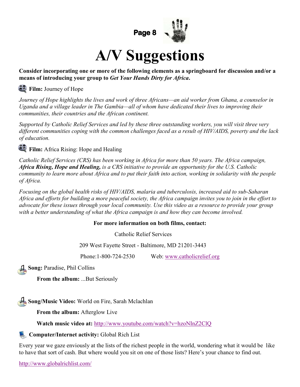

## A/V Suggestions

Consider incorporating one or more of the following elements as a springboard for discussion and/or a means of introducing your group to Get Your Hands Dirty for Africa.

Film: Journey of Hope

Journey of Hope highlights the lives and work of three Africans—an aid worker from Ghana, a counselor in Uganda and a village leader in The Gambia—all of whom have dedicated their lives to improving their communities, their countries and the African continent.

Supported by Catholic Relief Services and led by these three outstanding workers, you will visit three very different communities coping with the common challenges faced as a result of HIV/AIDS, poverty and the lack of education.

Film: Africa Rising: Hope and Healing

Catholic Relief Services (CRS) has been working in Africa for more than 50 years. The Africa campaign, Africa Rising, Hope and Healing, is a CRS initiative to provide an opportunity for the U.S. Catholic community to learn more about Africa and to put their faith into action, working in solidarity with the people of Africa.

Focusing on the global health risks of HIV/AIDS, malaria and tuberculosis, increased aid to sub-Saharan Africa and efforts for building a more peaceful society, the Africa campaign invites you to join in the effort to advocate for these issues through your local community. Use this video as a resource to provide your group with a better understanding of what the Africa campaign is and how they can become involved.

### For more information on both films, contact:

Catholic Relief Services

209 West Fayette Street - Baltimore, MD 21201-3443

Phone: 1-800-724-2530 Web: www.catholicrelief.org

Song: Paradise, Phil Collins

From the album: ...But Seriously

Song/Music Video: World on Fire, Sarah Mclachlan

From the album: Afterglow Live

Watch music video at: http://www.youtube.com/watch?v=hzoNInZ2ClQ

Computer/Internet activity: Global Rich List

Every year we gaze enviously at the lists of the richest people in the world, wondering what it would be like to have that sort of cash. But where would you sit on one of those lists? Here's your chance to find out.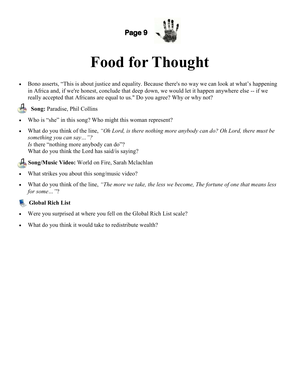

## Food for Thought

• Bono asserts, "This is about justice and equality. Because there's no way we can look at what's happening in Africa and, if we're honest, conclude that deep down, we would let it happen anywhere else -- if we really accepted that Africans are equal to us." Do you agree? Why or why not?



Song: Paradise, Phil Collins

- Who is "she" in this song? Who might this woman represent?
- What do you think of the line, "Oh Lord, is there nothing more anybody can do? Oh Lord, there must be something you can say…"? Is there "nothing more anybody can do"? What do you think the Lord has said/is saying?

Song/Music Video: World on Fire, Sarah Mclachlan

- What strikes you about this song/music video?
- What do you think of the line, "The more we take, the less we become, The fortune of one that means less for some..."?

### Global Rich List

- Were you surprised at where you fell on the Global Rich List scale?
- What do you think it would take to redistribute wealth?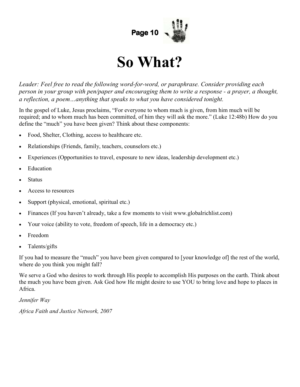

### So What?

Leader: Feel free to read the following word-for-word, or paraphrase. Consider providing each person in your group with pen/paper and encouraging them to write a response - a prayer, a thought, a reflection, a poem…anything that speaks to what you have considered tonight.

In the gospel of Luke, Jesus proclaims, "For everyone to whom much is given, from him much will be required; and to whom much has been committed, of him they will ask the more." (Luke 12:48b) How do you define the "much" you have been given? Think about these components:

- Food, Shelter, Clothing, access to healthcare etc.
- Relationships (Friends, family, teachers, counselors etc.)
- Experiences (Opportunities to travel, exposure to new ideas, leadership development etc.)
- **Education**
- **Status**
- Access to resources
- Support (physical, emotional, spiritual etc.)
- Finances (If you haven't already, take a few moments to visit www.globalrichlist.com)
- Your voice (ability to vote, freedom of speech, life in a democracy etc.)
- Freedom
- Talents/gifts

If you had to measure the "much" you have been given compared to [your knowledge of] the rest of the world, where do you think you might fall?

We serve a God who desires to work through His people to accomplish His purposes on the earth. Think about the much you have been given. Ask God how He might desire to use YOU to bring love and hope to places in Africa.

Jennifer Way

Africa Faith and Justice Network, 2007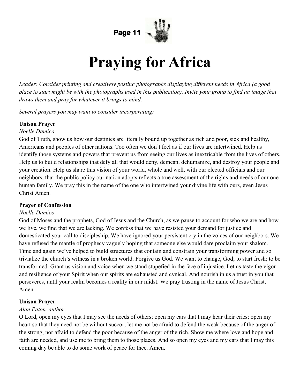

## Praying for Africa

Leader: Consider printing and creatively posting photographs displaying different needs in Africa (a good place to start might be with the photographs used in this publication). Invite your group to find an image that draws them and pray for whatever it brings to mind.

Several prayers you may want to consider incorporating:

### Unison Prayer

### Noelle Damico

God of Truth, show us how our destinies are literally bound up together as rich and poor, sick and healthy, Americans and peoples of other nations. Too often we don't feel as if our lives are intertwined. Help us identify those systems and powers that prevent us from seeing our lives as inextricable from the lives of others. Help us to build relationships that defy all that would deny, demean, dehumanize, and destroy your people and your creation. Help us share this vision of your world, whole and well, with our elected officials and our neighbors, that the public policy our nation adopts reflects a true assessment of the rights and needs of our one human family. We pray this in the name of the one who intertwined your divine life with ours, even Jesus Christ Amen.

### Prayer of Confession

### Noelle Damico

God of Moses and the prophets, God of Jesus and the Church, as we pause to account for who we are and how we live, we find that we are lacking. We confess that we have resisted your demand for justice and domesticated your call to discipleship. We have ignored your persistent cry in the voices of our neighbors. We have refused the mantle of prophecy vaguely hoping that someone else would dare proclaim your shalom. Time and again we've helped to build structures that contain and constrain your transforming power and so trivialize the church's witness in a broken world. Forgive us God. We want to change, God; to start fresh; to be transformed. Grant us vision and voice when we stand stupefied in the face of injustice. Let us taste the vigor and resilience of your Spirit when our spirits are exhausted and cynical. And nourish in us a trust in you that perseveres, until your realm becomes a reality in our midst. We pray trusting in the name of Jesus Christ, Amen.

### Unison Prayer

### Alan Paton, author

O Lord, open my eyes that I may see the needs of others; open my ears that I may hear their cries; open my heart so that they need not be without succor; let me not be afraid to defend the weak because of the anger of the strong, nor afraid to defend the poor because of the anger of the rich. Show me where love and hope and faith are needed, and use me to bring them to those places. And so open my eyes and my ears that I may this coming day be able to do some work of peace for thee. Amen.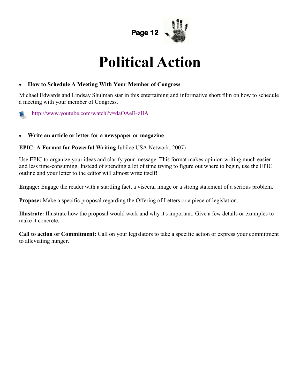

## Political Action

### • How to Schedule A Meeting With Your Member of Congress

Michael Edwards and Lindsay Shulman star in this entertaining and informative short film on how to schedule a meeting with your member of Congress.

http://www.youtube.com/watch?v=daOAeB-zIIA

#### Write an article or letter for a newspaper or magazine

#### EPIC: A Format for Powerful Writing Jubilee USA Network, 2007)

Use EPIC to organize your ideas and clarify your message. This format makes opinion writing much easier and less time-consuming. Instead of spending a lot of time trying to figure out where to begin, use the EPIC outline and your letter to the editor will almost write itself!

Engage: Engage the reader with a startling fact, a visceral image or a strong statement of a serious problem.

Propose: Make a specific proposal regarding the Offering of Letters or a piece of legislation.

Illustrate: Illustrate how the proposal would work and why it's important. Give a few details or examples to make it concrete.

Call to action or Commitment: Call on your legislators to take a specific action or express your commitment to alleviating hunger.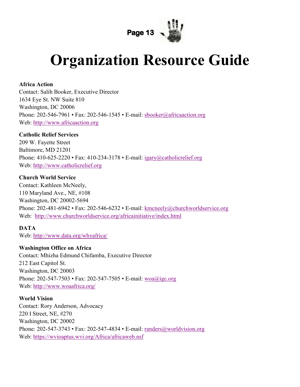

## Organization Resource Guide

### Africa Action

Contact: Salih Booker, Executive Director 1634 Eye St. NW Suite 810 Washington, DC 20006 Phone: 202-546-7961 • Fax: 202-546-1545 • E-mail: sbooker@africaaction.org Web: http://www.africaaction.org

### Catholic Relief Services

209 W. Fayette Street Baltimore, MD 21201 Phone: 410-625-2220 • Fax: 410-234-3178 • E-mail: igary@catholicrelief.org Web: http://www.catholicrelief.org

### Church World Service

Contact: Kathleen McNeely, 110 Maryland Ave., NE, #108 Washington, DC 20002-5694 Phone: 202-481-6942 • Fax: 202-546-6232 • E-mail: kmcneely@churchworldservice.org Web: http://www.churchworldservice.org/africainitiative/index.html

### DATA

Web: http://www.data.org/whyafrica/

### Washington Office on Africa

Contact: Mhizha Edmund Chifamba, Executive Director 212 East Capitol St. Washington, DC 20003 Phone: 202-547-7503 • Fax: 202-547-7505 • E-mail: woa@igc.org Web: http://www.woaafrica.org/

### World Vision Contact: Rory Anderson, Advocacy 220 I Street, NE, #270 Washington, DC 20002 Phone: 202-547-3743 • Fax: 202-547-4834 • E-mail: randers@worldvision.org Web: https://wvioaptus.wvi.org/Africa/africaweb.nsf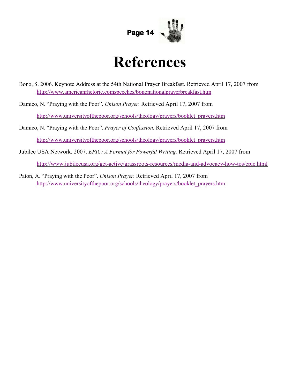

### References

- Bono, S. 2006. Keynote Address at the 54th National Prayer Breakfast. Retrieved April 17, 2007 from http://www.americanrhetoric.comspeeches/bononationalprayerbreakfast.htm
- Damico, N. "Praying with the Poor". Unison Prayer. Retrieved April 17, 2007 from http://www.universityofthepoor.org/schools/theology/prayers/booklet\_prayers.htm
- Damico, N. "Praying with the Poor". Prayer of Confession. Retrieved April 17, 2007 from

http://www.universityofthepoor.org/schools/theology/prayers/booklet\_prayers.htm

Jubilee USA Network. 2007. EPIC: A Format for Powerful Writing. Retrieved April 17, 2007 from

http://www.jubileeusa.org/get-active/grassroots-resources/media-and-advocacy-how-tos/epic.html

Paton, A. "Praying with the Poor". Unison Prayer. Retrieved April 17, 2007 from http://www.universityofthepoor.org/schools/theology/prayers/booklet\_prayers.htm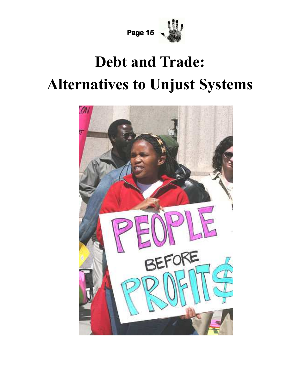

## Debt and Trade: Alternatives to Unjust Systems

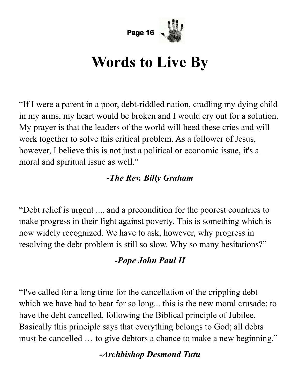

## Words to Live By

"If I were a parent in a poor, debt-riddled nation, cradling my dying child in my arms, my heart would be broken and I would cry out for a solution. My prayer is that the leaders of the world will heed these cries and will work together to solve this critical problem. As a follower of Jesus, however, I believe this is not just a political or economic issue, it's a moral and spiritual issue as well."

### -The Rev. Billy Graham

"Debt relief is urgent .... and a precondition for the poorest countries to make progress in their fight against poverty. This is something which is now widely recognized. We have to ask, however, why progress in resolving the debt problem is still so slow. Why so many hesitations?"

### -Pope John Paul II

"I've called for a long time for the cancellation of the crippling debt which we have had to bear for so long... this is the new moral crusade: to have the debt cancelled, following the Biblical principle of Jubilee. Basically this principle says that everything belongs to God; all debts must be cancelled … to give debtors a chance to make a new beginning."

### -Archbishop Desmond Tutu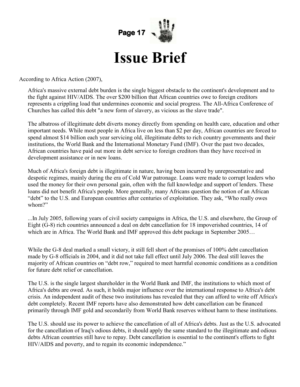

### Issue Brief

According to Africa Action (2007),

Africa's massive external debt burden is the single biggest obstacle to the continent's development and to the fight against HIV/AIDS. The over \$200 billion that African countries owe to foreign creditors represents a crippling load that undermines economic and social progress. The All-Africa Conference of Churches has called this debt "a new form of slavery, as vicious as the slave trade".

The albatross of illegitimate debt diverts money directly from spending on health care, education and other important needs. While most people in Africa live on less than \$2 per day, African countries are forced to spend almost \$14 billion each year servicing old, illegitimate debts to rich country governments and their institutions, the World Bank and the International Monetary Fund (IMF). Over the past two decades, African countries have paid out more in debt service to foreign creditors than they have received in development assistance or in new loans.

Much of Africa's foreign debt is illegitimate in nature, having been incurred by unrepresentative and despotic regimes, mainly during the era of Cold War patronage. Loans were made to corrupt leaders who used the money for their own personal gain, often with the full knowledge and support of lenders. These loans did not benefit Africa's people. More generally, many Africans question the notion of an African "debt" to the U.S. and European countries after centuries of exploitation. They ask, "Who really owes whom?"

...In July 2005, following years of civil society campaigns in Africa, the U.S. and elsewhere, the Group of Eight (G-8) rich countries announced a deal on debt cancellation for 18 impoverished countries, 14 of which are in Africa. The World Bank and IMF approved this debt package in September 2005…

While the G-8 deal marked a small victory, it still fell short of the promises of 100% debt cancellation made by G-8 officials in 2004, and it did not take full effect until July 2006. The deal still leaves the majority of African countries on "debt row," required to meet harmful economic conditions as a condition for future debt relief or cancellation.

The U.S. is the single largest shareholder in the World Bank and IMF, the institutions to which most of Africa's debts are owed. As such, it holds major influence over the international response to Africa's debt crisis. An independent audit of these two institutions has revealed that they can afford to write off Africa's debt completely. Recent IMF reports have also demonstrated how debt cancellation can be financed primarily through IMF gold and secondarily from World Bank reserves without harm to these institutions.

The U.S. should use its power to achieve the cancellation of all of Africa's debts. Just as the U.S. advocated for the cancellation of Iraq's odious debts, it should apply the same standard to the illegitimate and odious debts African countries still have to repay. Debt cancellation is essential to the continent's efforts to fight HIV/AIDS and poverty, and to regain its economic independence."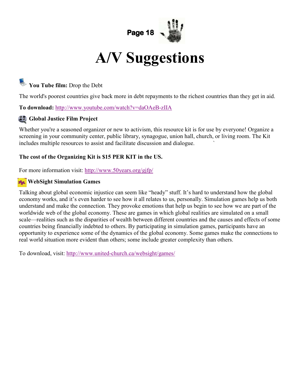

## A/V Suggestions

### You Tube film: Drop the Debt

The world's poorest countries give back more in debt repayments to the richest countries than they get in aid.

### To download: http://www.youtube.com/watch?v=daOAeB-zIIA

### Global Justice Film Project

Whether you're a seasoned organizer or new to activism, this resource kit is for use by everyone! Organize a screening in your community center, public library, synagogue, union hall, church, or living room. The Kit includes multiple resources to assist and facilitate discussion and dialogue. `

### The cost of the Organizing Kit is \$15 PER KIT in the US.

For more information visit: http://www.50years.org/gjfp/

### WebSight Simulation Games

Talking about global economic injustice can seem like "heady" stuff. It's hard to understand how the global economy works, and it's even harder to see how it all relates to us, personally. Simulation games help us both understand and make the connection. They provoke emotions that help us begin to see how we are part of the worldwide web of the global economy. These are games in which global realities are simulated on a small scale—realities such as the disparities of wealth between different countries and the causes and effects of some countries being financially indebted to others. By participating in simulation games, participants have an opportunity to experience some of the dynamics of the global economy. Some games make the connections to real world situation more evident than others; some include greater complexity than others.

To download, visit: http://www.united-church.ca/websight/games/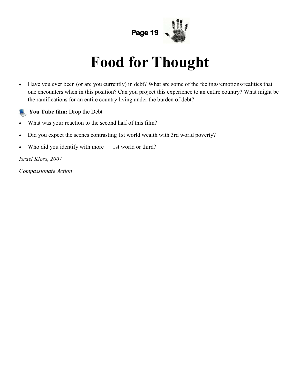

## Food for Thought

- Have you ever been (or are you currently) in debt? What are some of the feelings/emotions/realities that one encounters when in this position? Can you project this experience to an entire country? What might be the ramifications for an entire country living under the burden of debt?
- You Tube film: Drop the Debt
- What was your reaction to the second half of this film?
- Did you expect the scenes contrasting 1st world wealth with 3rd world poverty?
- Who did you identify with more 1st world or third?

Israel Kloss, 2007

Compassionate Action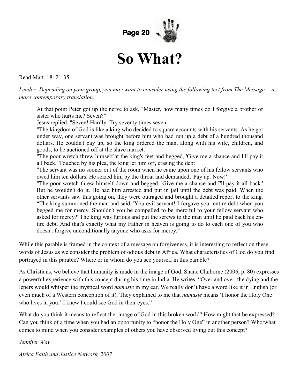

So What?

Read Matt. 18: 21-35

Leader: Depending on your group, you may want to consider using the following text from The Message -- a more contemporary translation.

At that point Peter got up the nerve to ask, "Master, how many times do I forgive a brother or sister who hurts me? Seven?"

Jesus replied, "Seven! Hardly. Try seventy times seven.

"The kingdom of God is like a king who decided to square accounts with his servants. As he got under way, one servant was brought before him who had run up a debt of a hundred thousand dollars. He couldn't pay up, so the king ordered the man, along with his wife, children, and goods, to be auctioned off at the slave market.

"The poor wretch threw himself at the king's feet and begged, 'Give me a chance and I'll pay it all back.' Touched by his plea, the king let him off, erasing the debt

"The servant was no sooner out of the room when he came upon one of his fellow servants who owed him ten dollars. He seized him by the throat and demanded, 'Pay up. Now!'

"The poor wretch threw himself down and begged, 'Give me a chance and I'll pay it all back.' But he wouldn't do it. He had him arrested and put in jail until the debt was paid. When the other servants saw this going on, they were outraged and brought a detailed report to the king. "The king summoned the man and said, 'You evil servant! I forgave your entire debt when you begged me for mercy. Shouldn't you be compelled to be merciful to your fellow servant who asked for mercy?' The king was furious and put the screws to the man until he paid back his entire debt. And that's exactly what my Father in heaven is going to do to each one of you who doesn't forgive unconditionally anyone who asks for mercy."

While this parable is framed in the context of a message on forgiveness, it is interesting to reflect on these words of Jesus as we consider the problem of odious debt in Africa. What characteristics of God do you find portrayed in this parable? Where or in whom do you see yourself in this parable?

As Christians, we believe that humanity is made in the image of God. Shane Claiborne (2006, p. 80) expresses a powerful experience with this concept during his time in India. He writes, "Over and over, the dying and the lepers would whisper the mystical word *namaste* in my ear. We really don't have a word like it in English (or even much of a Western conception of it). They explained to me that *namaste* means 'I honor the Holy One who lives in you.' I knew I could see God in their eyes."

What do you think it means to reflect the image of God in this broken world? How might that be expressed? Can you think of a time when you had an opportunity to "honor the Holy One" in another person? Who/what comes to mind when you consider examples of others you have observed living out this concept?

Jennifer Way

Africa Faith and Justice Network, 2007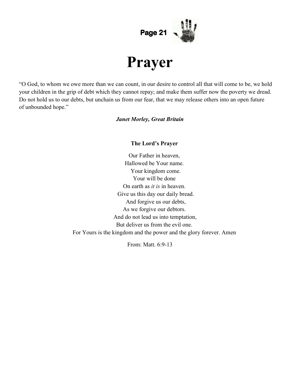

### Prayer

"O God, to whom we owe more than we can count, in our desire to control all that will come to be, we hold your children in the grip of debt which they cannot repay; and make them suffer now the poverty we dread. Do not hold us to our debts, but unchain us from our fear, that we may release others into an open future of unbounded hope."

### Janet Morley, Great Britain

The Lord's Prayer

 Our Father in heaven, Hallowed be Your name. Your kingdom come. Your will be done On earth as it is in heaven. Give us this day our daily bread. And forgive us our debts, As we forgive our debtors. And do not lead us into temptation, But deliver us from the evil one. For Yours is the kingdom and the power and the glory forever. Amen

From: Matt. 6:9-13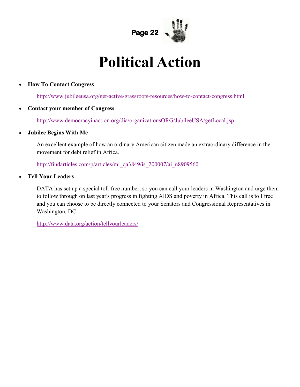

## Political Action

### • How To Contact Congress

http://www.jubileeusa.org/get-active/grassroots-resources/how-to-contact-congress.html

• Contact your member of Congress

http://www.democracyinaction.org/dia/organizationsORG/JubileeUSA/getLocal.jsp

• Jubilee Begins With Me

An excellent example of how an ordinary American citizen made an extraordinary difference in the movement for debt relief in Africa.

http://findarticles.com/p/articles/mi\_qa3849/is\_200007/ai\_n8909560

• Tell Your Leaders

DATA has set up a special toll-free number, so you can call your leaders in Washington and urge them to follow through on last year's progress in fighting AIDS and poverty in Africa. This call is toll free and you can choose to be directly connected to your Senators and Congressional Representatives in Washington, DC.

http://www.data.org/action/tellyourleaders/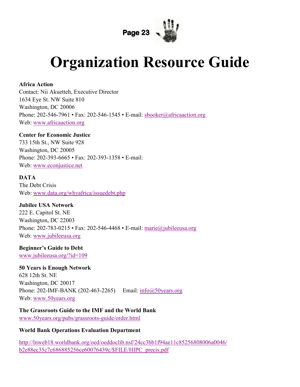

## Organization Resource Guide

#### Africa Action

Contact: Nii Akuetteh, Executive Director 1634 Eye St. NW Suite 810 Washington, DC 20006 Phone: 202-546-7961 • Fax: 202-546-1545 • E-mail: sbooker@africaaction.org Web: www.africaaction.org

#### Center for Economic Justice

733 15th St., NW Suite 928 Washington, DC 20005 Phone: 202-393-6665 • Fax: 202-393-1358 • E-mail: Web: www.econjustice.net

#### **DATA**

The Debt Crisis Web: www.data.org/whyafrica/issuedebt.php

#### Jubilee USA Network

222 E. Capitol St. NE Washington, DC 22003 Phone: 202-783-0215 • Fax: 202-546-4468 • E-mail: marie@jubileeusa.org Web: www.jubileeusa.org

### Beginner's Guide to Debt

www.jubileeusa.org/?id=109

### 50 Years is Enough Network

628 12th St. NE Washington, DC 20017 Phone: 202-IMF-BANK (202-463-2265) Email: info@50years.org Web: www.50years.org

### The Grassroots Guide to the IMF and the World Bank

www.50years.org/pubs/grassroots-guide/order.html

### World Bank Operations Evaluation Department

http://lnweb18.worldbank.org/oed/oeddoclib.nsf/24cc3bb1f94ae11c85256808006a0046/ b2e88ec35c7c686885256ce60076439c/\$FILE/HIPC\_precis.pdf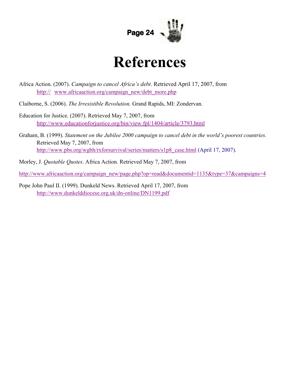

### References

- Africa Action. (2007). Campaign to cancel Africa's debt. Retrieved April 17, 2007, from http:// www.africaaction.org/campaign\_new/debt\_more.php
- Claiborne, S. (2006). The Irresistible Revolution. Grand Rapids, MI: Zondervan.
- Education for Justice. (2007). Retrieved May 7, 2007, from http://www.educationforjustice.org/bin/view.fpl/1404/article/3793.html
- Graham, B. (1999). Statement on the Jubilee 2000 campaign to cancel debt in the world's poorest countries. Retrieved May 7, 2007, from http://www.pbs.org/wgbh/rxforsurvival/series/matters/s1p8\_case.html (April 17, 2007).
- Morley, J. Quotable Quotes. Africa Action. Retrieved May 7, 2007, from

http://www.africaaction.org/campaign\_new/page.php?op=read&documentid=1135&type=37&campaigns=4

Pope John Paul II. (1999). Dunkeld News. Retrieved April 17, 2007, from http://www.dunkelddiocese.org.uk/dn-online/DN1199.pdf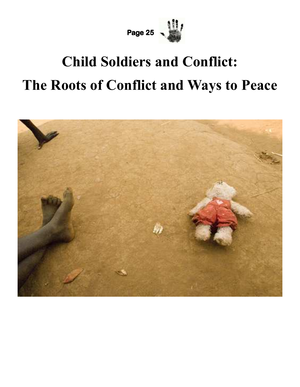

## Child Soldiers and Conflict: The Roots of Conflict and Ways to Peace

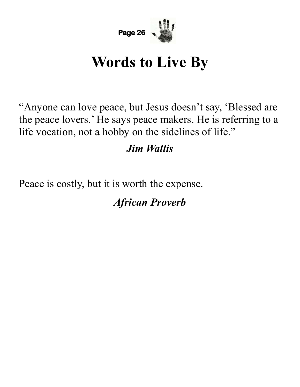

## Words to Live By

"Anyone can love peace, but Jesus doesn't say, 'Blessed are the peace lovers.' He says peace makers. He is referring to a life vocation, not a hobby on the sidelines of life."

### Jim Wallis

Peace is costly, but it is worth the expense.

African Proverb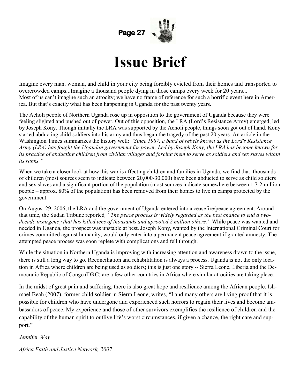

### Issue Brief

Imagine every man, woman, and child in your city being forcibly evicted from their homes and transported to overcrowded camps...Imagine a thousand people dying in those camps every week for 20 years... Most of us can't imagine such an atrocity; we have no frame of reference for such a horrific event here in America. But that's exactly what has been happening in Uganda for the past twenty years.

The Acholi people of Northern Uganda rose up in opposition to the government of Uganda because they were feeling slighted and pushed out of power. Out of this opposition, the LRA (Lord's Resistance Army) emerged, led by Joseph Kony. Though initially the LRA was supported by the Acholi people, things soon got out of hand. Kony started abducting child soldiers into his army and thus began the tragedy of the past 20 years. An article in the Washington Times summarizes the history well: "Since 1987, a band of rebels known as the Lord's Resistance Army (LRA) has fought the Ugandan government for power. Led by Joseph Kony, the LRA has become known for its practice of abducting children from civilian villages and forcing them to serve as soldiers and sex slaves within its ranks."

When we take a closer look at how this war is affecting children and families in Uganda, we find that thousands of children (most sources seem to indicate between 20,000-30,000) have been abducted to serve as child soldiers and sex slaves and a significant portion of the population (most sources indicate somewhere between 1.7-2 million people – approx. 80% of the population) has been removed from their homes to live in camps protected by the government.

On August 29, 2006, the LRA and the government of Uganda entered into a ceasefire/peace agreement. Around that time, the Sudan Tribune reported, "The peace process is widely regarded as the best chance to end a twodecade insurgency that has killed tens of thousands and uprooted 2 million others." While peace was wanted and needed in Uganda, the prospect was unstable at best. Joseph Kony, wanted by the International Criminal Court for crimes committed against humanity, would only enter into a permanent peace agreement if granted amnesty. The attempted peace process was soon replete with complications and fell through.

While the situation in Northern Uganda is improving with increasing attention and awareness drawn to the issue, there is still a long way to go. Reconciliation and rehabilitation is always a process. Uganda is not the only location in Africa where children are being used as soldiers; this is just one story -- Sierra Leone, Liberia and the Democratic Republic of Congo (DRC) are a few other countries in Africa where similar atrocities are taking place.

In the midst of great pain and suffering, there is also great hope and resilience among the African people. Ishmael Beah (2007), former child soldier in Sierra Leone, writes, "I and many others are living proof that it is possible for children who have undergone and experienced such horrors to regain their lives and become ambassadors of peace. My experience and those of other survivors exemplifies the resilience of children and the capability of the human spirit to outlive life's worst circumstances, if given a chance, the right care and support."

Jennifer Way

Africa Faith and Justice Network, 2007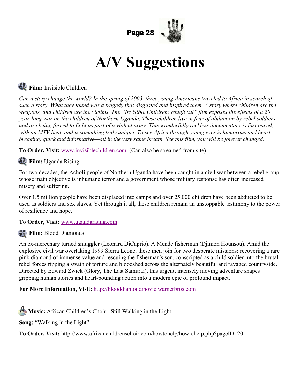

## A/V Suggestions

### Film: Invisible Children

Can a story change the world? In the spring of 2003, three young Americans traveled to Africa in search of such a story. What they found was a tragedy that disgusted and inspired them. A story where children are the weapons, and children are the victims. The "Invisible Children: rough cut" film exposes the effects of a 20 year-long war on the children of Northern Uganda. These children live in fear of abduction by rebel soldiers, and are being forced to fight as part of a violent army. This wonderfully reckless documentary is fast paced, with an MTV beat, and is something truly unique. To see Africa through young eyes is humorous and heart breaking, quick and informative—all in the very same breath. See this film, you will be forever changed.

To Order, Visit: www.invisiblechildren.com (Can also be streamed from site)

### Film: Uganda Rising

For two decades, the Acholi people of Northern Uganda have been caught in a civil war between a rebel group whose main objective is inhumane terror and a government whose military response has often increased misery and suffering.

Over 1.5 million people have been displaced into camps and over 25,000 children have been abducted to be used as soldiers and sex slaves. Yet through it all, these children remain an unstoppable testimony to the power of resilience and hope.

### To Order, Visit: www.ugandarising.com

Film: Blood Diamonds

An ex-mercenary turned smuggler (Leonard DiCaprio). A Mende fisherman (Djimon Hounsou). Amid the explosive civil war overtaking 1999 Sierra Leone, these men join for two desperate missions: recovering a rare pink diamond of immense value and rescuing the fisherman's son, conscripted as a child soldier into the brutal rebel forces ripping a swath of torture and bloodshed across the alternately beautiful and ravaged countryside. Directed by Edward Zwick (Glory, The Last Samurai), this urgent, intensely moving adventure shapes gripping human stories and heart-pounding action into a modern epic of profound impact.

For More Information, Visit: http://blooddiamondmovie.warnerbros.com

**Music:** African Children's Choir - Still Walking in the Light

Song: "Walking in the Light"

To Order, Visit: http://www.africanchildrenschoir.com/howtohelp/howtohelp.php?pageID=20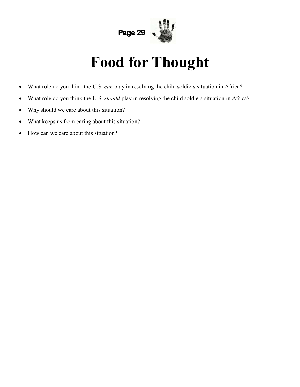

## Food for Thought

- What role do you think the U.S. *can* play in resolving the child soldiers situation in Africa?
- What role do you think the U.S. *should* play in resolving the child soldiers situation in Africa?
- Why should we care about this situation?
- What keeps us from caring about this situation?
- How can we care about this situation?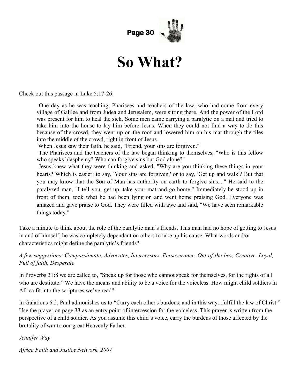

### So What?

Check out this passage in Luke 5:17-26:

 One day as he was teaching, Pharisees and teachers of the law, who had come from every village of Galilee and from Judea and Jerusalem, were sitting there. And the power of the Lord was present for him to heal the sick. Some men came carrying a paralytic on a mat and tried to take him into the house to lay him before Jesus. When they could not find a way to do this because of the crowd, they went up on the roof and lowered him on his mat through the tiles into the middle of the crowd, right in front of Jesus.

When Jesus saw their faith, he said, "Friend, your sins are forgiven."

 The Pharisees and the teachers of the law began thinking to themselves, "Who is this fellow who speaks blasphemy? Who can forgive sins but God alone?"

 Jesus knew what they were thinking and asked, "Why are you thinking these things in your hearts? Which is easier: to say, 'Your sins are forgiven,' or to say, 'Get up and walk'? But that you may know that the Son of Man has authority on earth to forgive sins...." He said to the paralyzed man, "I tell you, get up, take your mat and go home." Immediately he stood up in front of them, took what he had been lying on and went home praising God. Everyone was amazed and gave praise to God. They were filled with awe and said, "We have seen remarkable things today."

Take a minute to think about the role of the paralytic man's friends. This man had no hope of getting to Jesus in and of himself; he was completely dependant on others to take up his cause. What words and/or characteristics might define the paralytic's friends?

A few suggestions: Compassionate, Advocates, Intercessors, Perseverance, Out-of-the-box, Creative, Loyal, Full of faith, Desperate

In Proverbs 31:8 we are called to, "Speak up for those who cannot speak for themselves, for the rights of all who are destitute." We have the means and ability to be a voice for the voiceless. How might child soldiers in Africa fit into the scriptures we've read?

In Galations 6:2, Paul admonishes us to "Carry each other's burdens, and in this way...fulfill the law of Christ." Use the prayer on page 33 as an entry point of intercession for the voiceless. This prayer is written from the perspective of a child soldier. As you assume this child's voice, carry the burdens of those affected by the brutality of war to our great Heavenly Father.

Jennifer Way

Africa Faith and Justice Network, 2007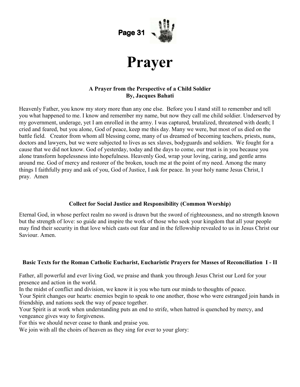

# Prayer

### A Prayer from the Perspective of a Child Soldier By, Jacques Bahati

Heavenly Father, you know my story more than any one else. Before you I stand still to remember and tell you what happened to me. I know and remember my name, but now they call me child soldier. Underserved by my government, underage, yet I am enrolled in the army. I was captured, brutalized, threatened with death; I cried and feared, but you alone, God of peace, keep me this day. Many we were, but most of us died on the battle field. Creator from whom all blessing come, many of us dreamed of becoming teachers, priests, nuns, doctors and lawyers, but we were subjected to lives as sex slaves, bodyguards and soldiers. We fought for a cause that we did not know. God of yesterday, today and the days to come, our trust is in you because you alone transform hopelessness into hopefulness. Heavenly God, wrap your loving, caring, and gentle arms around me. God of mercy and restorer of the broken, touch me at the point of my need. Among the many things I faithfully pray and ask of you, God of Justice, I ask for peace. In your holy name Jesus Christ, I pray. Amen

### Collect for Social Justice and Responsibility (Common Worship)

Eternal God, in whose perfect realm no sword is drawn but the sword of righteousness, and no strength known but the strength of love: so guide and inspire the work of those who seek your kingdom that all your people may find their security in that love which casts out fear and in the fellowship revealed to us in Jesus Christ our Saviour. Amen.

### Basic Texts for the Roman Catholic Eucharist, Eucharistic Prayers for Masses of Reconciliation I - II

Father, all powerful and ever living God, we praise and thank you through Jesus Christ our Lord for your presence and action in the world.

In the midst of conflict and division, we know it is you who turn our minds to thoughts of peace.

Your Spirit changes our hearts: enemies begin to speak to one another, those who were estranged join hands in friendship, and nations seek the way of peace together.

Your Spirit is at work when understanding puts an end to strife, when hatred is quenched by mercy, and vengeance gives way to forgiveness.

For this we should never cease to thank and praise you.

We join with all the choirs of heaven as they sing for ever to your glory: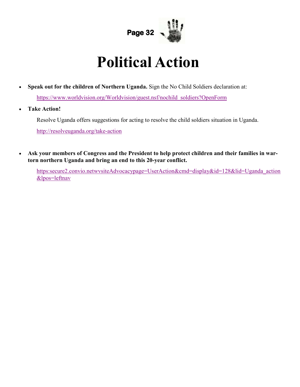

### Political Action

• Speak out for the children of Northern Uganda. Sign the No Child Soldiers declaration at:

https://www.worldvision.org/Worldvision/guest.nsf/nochild\_soldiers?OpenForm

• Take Action!

Resolve Uganda offers suggestions for acting to resolve the child soldiers situation in Uganda.

http://resolveuganda.org/take-action

• Ask your members of Congress and the President to help protect children and their families in wartorn northern Uganda and bring an end to this 20-year conflict.

 https:secure2.convio.netwvsiteAdvocacypage=UserAction&cmd=display&id=128&lid=Uganda\_action &lpos=leftnav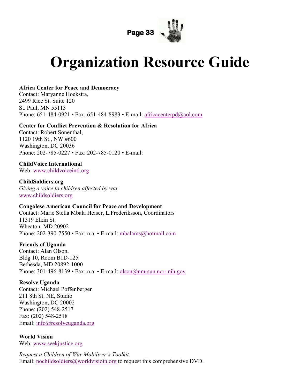

## Organization Resource Guide

### Africa Center for Peace and Democracy

Contact: Maryanne Hoekstra, 2499 Rice St. Suite 120 St. Paul, MN 55113 Phone: 651-484-0921 • Fax: 651-484-8983 • E-mail: africacenterpd@aol.com

#### Center for Conflict Prevention & Resolution for Africa

Contact: Robert Sonenthal, 1120 19th St., NW #600 Washington, DC 20036 Phone: 202-785-0227 • Fax: 202-785-0120 • E-mail:

#### ChildVoice International

Web: www.childvoiceintl.org

#### ChildSoldiers.org

Giving a voice to children affected by war www.childsoldiers.org

#### Congolese American Council for Peace and Development

Contact: Marie Stella Mbala Heiser, L.Frederiksson, Coordinators 11319 Elkin St. Wheaton, MD 20902 Phone: 202-390-7550 • Fax: n.a. • E-mail: mbalams@hotmail.com

#### Friends of Uganda

Contact: Alan Olson, Bldg 10, Room B1D-125 Bethesda, MD 20892-1000 Phone: 301-496-8139 • Fax: n.a. • E-mail: olson@nmrsun.ncrr.nih.gov

#### Resolve Uganda

Contact: Michael Poffenberger 211 8th St. NE, Studio Washington, DC 20002 Phone: (202) 548-2517 Fax: (202) 548-2518 Email: info@resolveuganda.org

### World Vision

Web: www.seekjustice.org

Request a Children of War Mobilizer's Toolkit: Email: nochildsoldiers@worldvisioin.org to request this comprehensive DVD.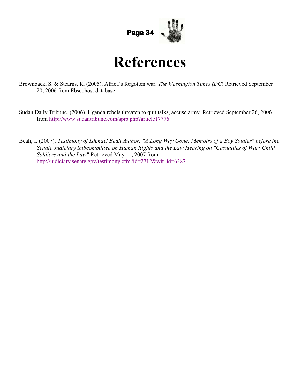

### References

Brownback, S. & Stearns, R. (2005). Africa's forgotten war. The Washington Times (DC).Retrieved September 20, 2006 from Ebscohost database.

- Sudan Daily Tribune. (2006). Uganda rebels threaten to quit talks, accuse army. Retrieved September 26, 2006 from http://www.sudantribune.com/spip.php?article17776
- Beah, I. (2007). Testimony of Ishmael Beah Author, "A Long Way Gone: Memoirs of a Boy Soldier" before the Senate Judiciary Subcommittee on Human Rights and the Law Hearing on "Casualties of War: Child Soldiers and the Law" Retrieved May 11, 2007 from http://judiciary.senate.gov/testimony.cfm?id=2712&wit\_id=6387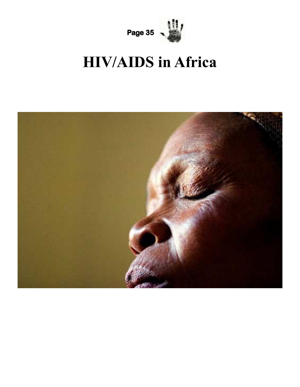

## HIV/AIDS in Africa

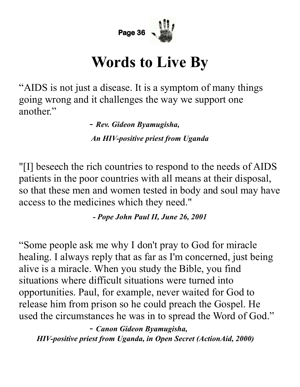

## Words to Live By

"AIDS is not just a disease. It is a symptom of many things going wrong and it challenges the way we support one another."

> - Rev. Gideon Byamugisha, An HIV-positive priest from Uganda

"[I] beseech the rich countries to respond to the needs of AIDS patients in the poor countries with all means at their disposal, so that these men and women tested in body and soul may have access to the medicines which they need."

- Pope John Paul II, June 26, 2001

"Some people ask me why I don't pray to God for miracle healing. I always reply that as far as I'm concerned, just being alive is a miracle. When you study the Bible, you find situations where difficult situations were turned into opportunities. Paul, for example, never waited for God to release him from prison so he could preach the Gospel. He used the circumstances he was in to spread the Word of God."

 - Canon Gideon Byamugisha, HIV-positive priest from Uganda, in Open Secret (ActionAid, 2000)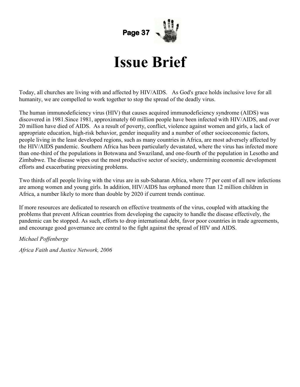

### Issue Brief

Today, all churches are living with and affected by HIV/AIDS. As God's grace holds inclusive love for all humanity, we are compelled to work together to stop the spread of the deadly virus.

The human immunodeficiency virus (HIV) that causes acquired immunodeficiency syndrome (AIDS) was discovered in 1981.Since 1981, approximately 60 million people have been infected with HIV/AIDS, and over 20 million have died of AIDS. As a result of poverty, conflict, violence against women and girls, a lack of appropriate education, high-risk behavior, gender inequality and a number of other socioeconomic factors, people living in the least developed regions, such as many countries in Africa, are most adversely affected by the HIV/AIDS pandemic. Southern Africa has been particularly devastated, where the virus has infected more than one-third of the populations in Botswana and Swaziland, and one-fourth of the population in Lesotho and Zimbabwe. The disease wipes out the most productive sector of society, undermining economic development efforts and exacerbating preexisting problems.

Two thirds of all people living with the virus are in sub-Saharan Africa, where 77 per cent of all new infections are among women and young girls. In addition, HIV/AIDS has orphaned more than 12 million children in Africa, a number likely to more than double by 2020 if current trends continue.

If more resources are dedicated to research on effective treatments of the virus, coupled with attacking the problems that prevent African countries from developing the capacity to handle the disease effectively, the pandemic can be stopped. As such, efforts to drop international debt, favor poor countries in trade agreements, and encourage good governance are central to the fight against the spread of HIV and AIDS.

Michael Poffenberge

Africa Faith and Justice Network, 2006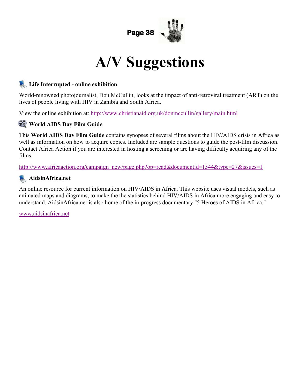

## A/V Suggestions

### Life Interrupted - online exhibition

World-renowned photojournalist, Don McCullin, looks at the impact of anti-retroviral treatment (ART) on the lives of people living with HIV in Zambia and South Africa.

View the online exhibition at: http://www.christianaid.org.uk/donmccullin/gallery/main.html

### World AIDS Day Film Guide

This World AIDS Day Film Guide contains synopses of several films about the HIV/AIDS crisis in Africa as well as information on how to acquire copies. Included are sample questions to guide the post-film discussion. Contact Africa Action if you are interested in hosting a screening or are having difficulty acquiring any of the films.

http://www.africaaction.org/campaign\_new/page.php?op=read&documentid=1544&type=27&issues=1

### AidsinAfrica.net

An online resource for current information on HIV/AIDS in Africa. This website uses visual models, such as animated maps and diagrams, to make the the statistics behind HIV/AIDS in Africa more engaging and easy to understand. AidsinAfrica.net is also home of the in-progress documentary "5 Heroes of AIDS in Africa."

www.aidsinafrica.net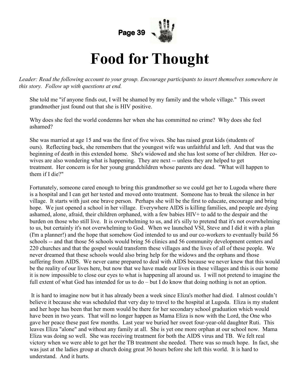

## Food for Thought

Leader: Read the following account to your group. Encourage participants to insert themselves somewhere in this story. Follow up with questions at end.

She told me "if anyone finds out, I will be shamed by my family and the whole village." This sweet grandmother just found out that she is HIV positive.

Why does she feel the world condemns her when she has committed no crime? Why does she feel ashamed?

She was married at age 15 and was the first of five wives. She has raised great kids (students of ours). Reflecting back, she remembers that the youngest wife was unfaithful and left. And that was the beginning of death in this extended home. She's widowed and she has lost some of her children. Her cowives are also wondering what is happening. They are next -- unless they are helped to get treatment. Her concern is for her young grandchildren whose parents are dead. "What will happen to them if I die?"

Fortunately, someone cared enough to bring this grandmother so we could get her to Lugoda where there is a hospital and I can get her tested and moved onto treatment. Someone has to break the silence in her village. It starts with just one brave person. Perhaps she will be the first to educate, encourage and bring hope. We just opened a school in her village. Everywhere AIDS is killing families, and people are dying ashamed, alone, afraid, their children orphaned, with a few babies HIV+ to add to the despair and the burden on those who still live. It is overwhelming to us, and it's silly to pretend that it's not overwhelming to us, but certainly it's not overwhelming to God. When we launched VSI, Steve and I did it with a plan (I'm a planner!) and the hope that somehow God intended to us and our co-workers to eventually build 56 schools -- and that those 56 schools would bring 56 clinics and 56 community development centers and 220 churches and that the gospel would transform these villages and the lives of all of these people. We never dreamed that these schools would also bring help for the widows and the orphans and those suffering from AIDS. We never came prepared to deal with AIDS because we never knew that this would be the reality of our lives here, but now that we have made our lives in these villages and this is our home it is now impossible to close our eyes to what is happening all around us. I will not pretend to imagine the full extent of what God has intended for us to do – but I do know that doing nothing is not an option.

 It is hard to imagine now but it has already been a week since Eliza's mother had died. I almost couldn't believe it because she was scheduled that very day to travel to the hospital at Lugoda. Eliza is my student and her hope has been that her mom would be there for her secondary school graduation which would have been in two years. That will no longer happen as Mama Eliza is now with the Lord, the One who gave her peace these past few months. Last year we buried her sweet four-year-old daughter Ruti. This leaves Eliza "alone" and without any family at all. She is yet one more orphan at our school now. Mama Eliza was doing so well. She was receiving treatment for both the AIDS virus and TB. We felt real victory when we were able to get her the TB treatment she needed. There was so much hope. In fact, she was just at the ladies group at church doing great 36 hours before she left this world. It is hard to understand. And it hurts.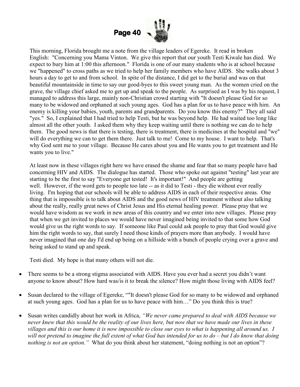

This morning, Florida brought me a note from the village leaders of Egereke. It read in broken English: "Concerning you Mama Vinton. We give this report that our youth Testi Kiwale has died. We expect to bury him at 1:00 this afternoon." Florida is one of our many students who is at school because we "happened" to cross paths as we tried to help her family members who have AIDS. She walks about 3 hours a day to get to and from school. In spite of the distance, I did get to the burial and was on that beautiful mountainside in time to say our good-byes to this sweet young man. As the women cried on the grave, the village chief asked me to get up and speak to the people. As surprised as I was by his request, I managed to address this large, mainly non-Christian crowd starting with "It doesn't please God for so many to be widowed and orphaned at such young ages. God has a plan for us to have peace with him. An enemy is killing your babies, youth, parents and grandparents. Do you know this enemy?" They all said "yes." So, I explained that I had tried to help Testi, but he was beyond help. He had waited too long like almost all the other youth. I asked them why they keep waiting until there is nothing we can do to help them. The good news is that there is testing, there is treatment, there is medicines at the hospital and "we" will do everything we can to get them there. Just talk to me! Come to my house. I want to help. That's why God sent me to your village. Because He cares about you and He wants you to get treatment and He wants you to live."

At least now in these villages right here we have erased the shame and fear that so many people have had concerning HIV and AIDS. The dialogue has started. Those who spoke out against "testing" last year are starting to be the first to say "Everyone get tested! It's important!" And people are getting well. However, if the word gets to people too late -- as it did to Testi - they die without ever really living. I'm hoping that our schools will be able to address AIDS in each of their respective areas. One thing that is impossible is to talk about AIDS and the good news of HIV treatment without also talking about the really, really great news of Christ Jesus and His eternal healing power. Please pray that we would have wisdom as we work in new areas of this country and we enter into new villages. Please pray that when we get invited to places we would have never imagined being invited to that some how God would give us the right words to say. If someone like Paul could ask people to pray that God would give him the right words to say, that surely I need those kinds of prayers more than anybody. I would have never imagined that one day I'd end up being on a hillside with a bunch of people crying over a grave and being asked to stand up and speak.

Testi died. My hope is that many others will not die.

- There seems to be a strong stigma associated with AIDS. Have you ever had a secret you didn't want anyone to know about? How hard was/is it to break the silence? How might those living with AIDS feel?
- Susan declared to the village of Egereke, ""It doesn't please God for so many to be widowed and orphaned at such young ages. God has a plan for us to have peace with him…" Do you think this is true?
- Susan writes candidly about her work in Africa, "We never came prepared to deal with AIDS because we never knew that this would be the reality of our lives here, but now that we have made our lives in these villages and this is our home it is now impossible to close our eyes to what is happening all around us. I will not pretend to imagine the full extent of what God has intended for us to do – but I do know that doing nothing is not an option." What do you think about her statement, "doing nothing is not an option"?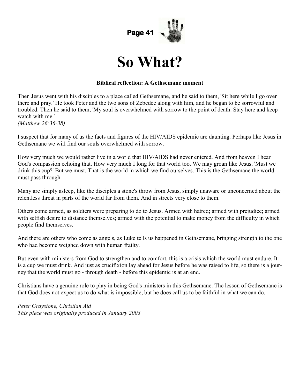

### So What?

#### Biblical reflection: A Gethsemane moment

Then Jesus went with his disciples to a place called Gethsemane, and he said to them, 'Sit here while I go over there and pray.' He took Peter and the two sons of Zebedee along with him, and he began to be sorrowful and troubled. Then he said to them, 'My soul is overwhelmed with sorrow to the point of death. Stay here and keep watch with me'

(*Matthew 26:36-38*)

I suspect that for many of us the facts and figures of the HIV/AIDS epidemic are daunting. Perhaps like Jesus in Gethsemane we will find our souls overwhelmed with sorrow.

How very much we would rather live in a world that HIV/AIDS had never entered. And from heaven I hear God's compassion echoing that. How very much I long for that world too. We may groan like Jesus, 'Must we drink this cup?' But we must. That is the world in which we find ourselves. This is the Gethsemane the world must pass through.

Many are simply asleep, like the disciples a stone's throw from Jesus, simply unaware or unconcerned about the relentless threat in parts of the world far from them. And in streets very close to them.

Others come armed, as soldiers were preparing to do to Jesus. Armed with hatred; armed with prejudice; armed with selfish desire to distance themselves; armed with the potential to make money from the difficulty in which people find themselves.

And there are others who come as angels, as Luke tells us happened in Gethsemane, bringing strength to the one who had become weighed down with human frailty.

But even with ministers from God to strengthen and to comfort, this is a crisis which the world must endure. It is a cup we must drink. And just as crucifixion lay ahead for Jesus before he was raised to life, so there is a journey that the world must go - through death - before this epidemic is at an end.

Christians have a genuine role to play in being God's ministers in this Gethsemane. The lesson of Gethsemane is that God does not expect us to do what is impossible, but he does call us to be faithful in what we can do.

Peter Graystone, Christian Aid This piece was originally produced in January 2003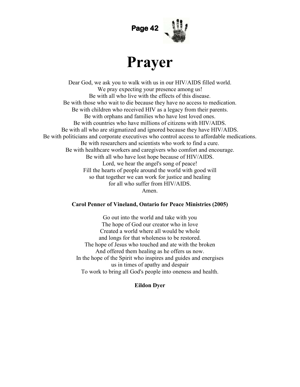

### Prayer

Dear God, we ask you to walk with us in our HIV/AIDS filled world. We pray expecting your presence among us! Be with all who live with the effects of this disease. Be with those who wait to die because they have no access to medication. Be with children who received HIV as a legacy from their parents. Be with orphans and families who have lost loved ones. Be with countries who have millions of citizens with HIV/AIDS. Be with all who are stigmatized and ignored because they have HIV/AIDS. Be with politicians and corporate executives who control access to affordable medications. Be with researchers and scientists who work to find a cure. Be with healthcare workers and caregivers who comfort and encourage. Be with all who have lost hope because of HIV/AIDS. Lord, we hear the angel's song of peace! Fill the hearts of people around the world with good will so that together we can work for justice and healing for all who suffer from HIV/AIDS. Amen.

#### Carol Penner of Vineland, Ontario for Peace Ministries (2005)

Go out into the world and take with you The hope of God our creator who in love Created a world where all would be whole and longs for that wholeness to be restored. The hope of Jesus who touched and ate with the broken And offered them healing as he offers us now. In the hope of the Spirit who inspires and guides and energises us in times of apathy and despair To work to bring all God's people into oneness and health.

#### Eildon Dyer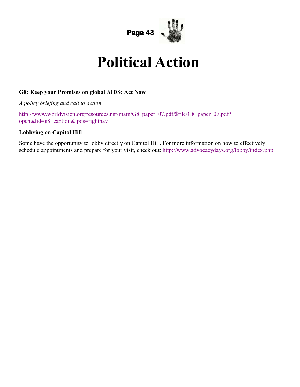

### Political Action

### G8: Keep your Promises on global AIDS: Act Now

A policy briefing and call to action

http://www.worldvision.org/resources.nsf/main/G8\_paper\_07.pdf/\$file/G8\_paper\_07.pdf? open&lid=g8\_caption&lpos=rightnav

### Lobbying on Capitol Hill

Some have the opportunity to lobby directly on Capitol Hill. For more information on how to effectively schedule appointments and prepare for your visit, check out: http://www.advocacydays.org/lobby/index.php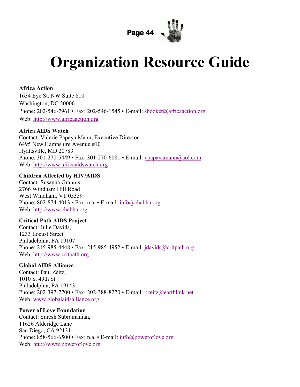

## Organization Resource Guide

### Africa Action

1634 Eye St. NW Suite 810 Washington, DC 20006 Phone: 202-546-7961 • Fax: 202-546-1545 • E-mail: sbooker@africaaction.org Web: http://www.africaaction.org

#### Africa AIDS Watch

Contact: Valerie Papaya Mann, Executive Director 6495 New Hampshire Avenue #10 Hyattsville, MD 20783 Phone: 301-270-5449 • Fax: 301-270-6081 • E-mail: vpapayamann@aol.com Web: http://www.africaaidswatch.org

#### Children Affected by HIV/AIDS

Contact: Susanna Grannis, 2766 Windham Hill Road West Windham, VT 05359 Phone:  $802-874-4013 \cdot Fax$ : n.a.  $\cdot$  E-mail: info@chabha.org Web: http://www.chabha.org

### Critical Path AIDS Project

Contact: Julie Davids, 1233 Locust Street Philadelphia, PA 19107 Phone: 215-985-4448 • Fax: 215-985-4952 • E-mail: jdavids@critpath.org Web: http://www.critpath.org

### Global AIDS Alliance

Contact: Paul Zeitz, 1010 S. 49th St. Philadelphia, PA 19143 Phone: 202-397-7700 • Fax: 202-388-8270 • E-mail: pzeitz@earthlink.net Web: www.globalaidsalliance.org

#### Power of Love Foundation

Contact: Suresh Subramanian, 11626 Alderidge Lane San Diego, CA 92131 Phone:  $858-566-6500 \cdot \text{Fax: n.a.} \cdot \text{E-mail:}$  info@poweroflove.org Web: http://www.poweroflove.org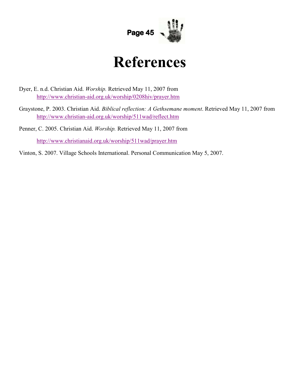

### References

Dyer, E. n.d. Christian Aid. Worship. Retrieved May 11, 2007 from http://www.christian-aid.org.uk/worship/0208hiv/prayer.htm

Graystone, P. 2003. Christian Aid. Biblical reflection: A Gethsemane moment. Retrieved May 11, 2007 from http://www.christian-aid.org.uk/worship/511wad/reflect.htm

Penner, C. 2005. Christian Aid. Worship. Retrieved May 11, 2007 from

http://www.christianaid.org.uk/worship/511wad/prayer.htm

Vinton, S. 2007. Village Schools International. Personal Communication May 5, 2007.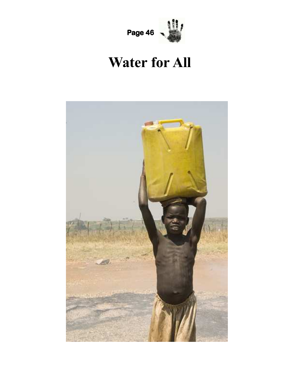

### Water for All

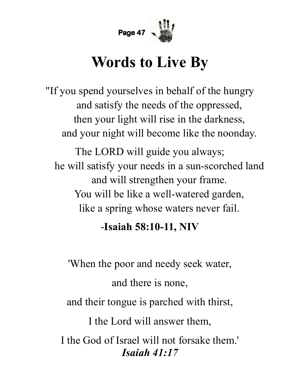

## Words to Live By

"If you spend yourselves in behalf of the hungry and satisfy the needs of the oppressed, then your light will rise in the darkness, and your night will become like the noonday.

The LORD will guide you always; he will satisfy your needs in a sun-scorched land and will strengthen your frame. You will be like a well-watered garden, like a spring whose waters never fail.

### -Isaiah 58:10-11, NIV

'When the poor and needy seek water, and there is none, and their tongue is parched with thirst, I the Lord will answer them, I the God of Israel will not forsake them.' Isaiah 41:17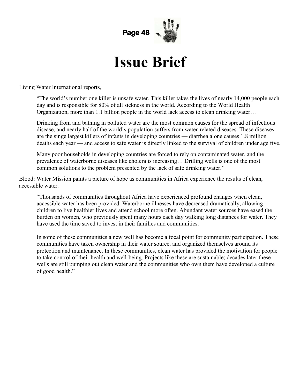

### Issue Brief

Living Water International reports,

"The world's number one killer is unsafe water. This killer takes the lives of nearly 14,000 people each day and is responsible for 80% of all sickness in the world. According to the World Health Organization, more than 1.1 billion people in the world lack access to clean drinking water…

Drinking from and bathing in polluted water are the most common causes for the spread of infectious disease, and nearly half of the world's population suffers from water-related diseases. These diseases are the singe largest killers of infants in developing countries — diarrhea alone causes 1.8 million deaths each year — and access to safe water is directly linked to the survival of children under age five.

Many poor households in developing countries are forced to rely on contaminated water, and the prevalence of waterborne diseases like cholera is increasing… Drilling wells is one of the most common solutions to the problem presented by the lack of safe drinking water."

Blood: Water Mission paints a picture of hope as communities in Africa experience the results of clean, accessible water.

"Thousands of communities throughout Africa have experienced profound changes when clean, accessible water has been provided. Waterborne illnesses have decreased dramatically, allowing children to live healthier lives and attend school more often. Abundant water sources have eased the burden on women, who previously spent many hours each day walking long distances for water. They have used the time saved to invest in their families and communities.

In some of these communities a new well has become a focal point for community participation. These communities have taken ownership in their water source, and organized themselves around its protection and maintenance. In these communities, clean water has provided the motivation for people to take control of their health and well-being. Projects like these are sustainable; decades later these wells are still pumping out clean water and the communities who own them have developed a culture of good health."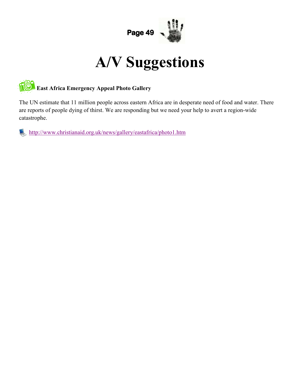

## A/V Suggestions



The UN estimate that 11 million people across eastern Africa are in desperate need of food and water. There are reports of people dying of thirst. We are responding but we need your help to avert a region-wide catastrophe.

http://www.christianaid.org.uk/news/gallery/eastafrica/photo1.htm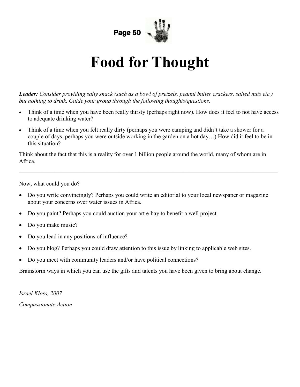

## Food for Thought

Leader: Consider providing salty snack (such as a bowl of pretzels, peanut butter crackers, salted nuts etc.) but nothing to drink. Guide your group through the following thoughts/questions.

- Think of a time when you have been really thirsty (perhaps right now). How does it feel to not have access to adequate drinking water?
- Think of a time when you felt really dirty (perhaps you were camping and didn't take a shower for a couple of days, perhaps you were outside working in the garden on a hot day…) How did it feel to be in this situation?

Think about the fact that this is a reality for over 1 billion people around the world, many of whom are in Africa.

 $\overline{\phantom{a}}$  , and the contract of the contract of the contract of the contract of the contract of the contract of the contract of the contract of the contract of the contract of the contract of the contract of the contrac

Now, what could you do?

- Do you write convincingly? Perhaps you could write an editorial to your local newspaper or magazine about your concerns over water issues in Africa.
- Do you paint? Perhaps you could auction your art e-bay to benefit a well project.
- Do you make music?
- Do you lead in any positions of influence?
- Do you blog? Perhaps you could draw attention to this issue by linking to applicable web sites.
- Do you meet with community leaders and/or have political connections?

Brainstorm ways in which you can use the gifts and talents you have been given to bring about change.

Israel Kloss, 2007 Compassionate Action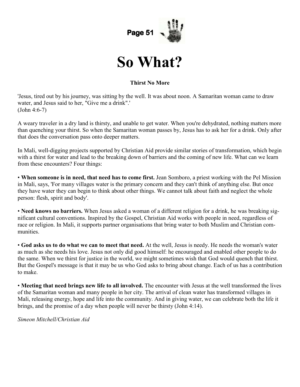

### So What?

### Thirst No More

'Jesus, tired out by his journey, was sitting by the well. It was about noon. A Samaritan woman came to draw water, and Jesus said to her, "Give me a drink".' (John 4:6-7)

A weary traveler in a dry land is thirsty, and unable to get water. When you're dehydrated, nothing matters more than quenching your thirst. So when the Samaritan woman passes by, Jesus has to ask her for a drink. Only after that does the conversation pass onto deeper matters.

In Mali, well-digging projects supported by Christian Aid provide similar stories of transformation, which begin with a thirst for water and lead to the breaking down of barriers and the coming of new life. What can we learn from these encounters? Four things:

• When someone is in need, that need has to come first. Jean Somboro, a priest working with the Pel Mission in Mali, says, 'For many villages water is the primary concern and they can't think of anything else. But once they have water they can begin to think about other things. We cannot talk about faith and neglect the whole person: flesh, spirit and body'.

• Need knows no barriers. When Jesus asked a woman of a different religion for a drink, he was breaking significant cultural conventions. Inspired by the Gospel, Christian Aid works with people in need, regardless of race or religion. In Mali, it supports partner organisations that bring water to both Muslim and Christian communities.

• God asks us to do what we can to meet that need. At the well, Jesus is needy. He needs the woman's water as much as she needs his love. Jesus not only did good himself: he encouraged and enabled other people to do the same. When we thirst for justice in the world, we might sometimes wish that God would quench that thirst. But the Gospel's message is that it may be us who God asks to bring about change. Each of us has a contribution to make.

• Meeting that need brings new life to all involved. The encounter with Jesus at the well transformed the lives of the Samaritan woman and many people in her city. The arrival of clean water has transformed villages in Mali, releasing energy, hope and life into the community. And in giving water, we can celebrate both the life it brings, and the promise of a day when people will never be thirsty (John 4:14).

Simeon Mitchell/Christian Aid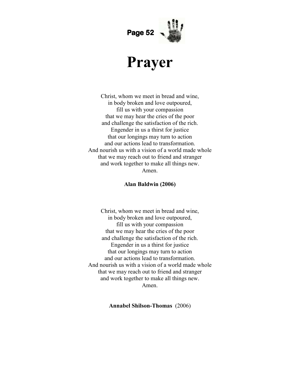

### Prayer

Christ, whom we meet in bread and wine, in body broken and love outpoured, fill us with your compassion that we may hear the cries of the poor and challenge the satisfaction of the rich. Engender in us a thirst for justice that our longings may turn to action and our actions lead to transformation. And nourish us with a vision of a world made whole that we may reach out to friend and stranger and work together to make all things new. Amen.

#### Alan Baldwin (2006)

Christ, whom we meet in bread and wine, in body broken and love outpoured, fill us with your compassion that we may hear the cries of the poor and challenge the satisfaction of the rich. Engender in us a thirst for justice that our longings may turn to action and our actions lead to transformation. And nourish us with a vision of a world made whole that we may reach out to friend and stranger and work together to make all things new. Amen.

#### Annabel Shilson-Thomas (2006)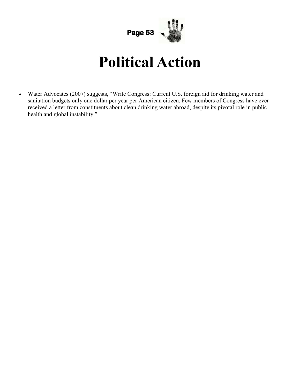

## Political Action

• Water Advocates (2007) suggests, "Write Congress: Current U.S. foreign aid for drinking water and sanitation budgets only one dollar per year per American citizen. Few members of Congress have ever received a letter from constituents about clean drinking water abroad, despite its pivotal role in public health and global instability."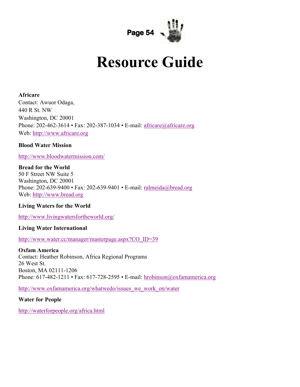

### Resource Guide

### Africare

Contact: Awuor Odaga, 440 R St. NW Washington, DC 20001 Phone: 202-462-3614 • Fax: 202-387-1034 • E-mail: africare@africare.org Web: http://www.africare.org

### Blood Water Mission

http://www.bloodwatermission.com/

### Bread for the World

50 F Street NW Suite 5 Washington, DC 20001 Phone: 202-639-9400 • Fax: 202-639-9401 • E-mail: ralmeida@bread.org Web: http://www.bread.org

### Living Waters for the World

http://www.livingwatersfortheworld.org/

### Living Water International

http://www.water.cc/manager/masterpage.aspx?CO\_ID=39

Oxfam America Contact: Heather Robinson, Africa Regional Programs 26 West St. Boston, MA 02111-1206 Phone: 617-482-1211 • Fax: 617-728-2595 • E-mail: hrobinson@oxfamamerica.org

http://www.oxfamamerica.org/whatwedo/issues\_we\_work\_on/water

### Water for People

http://waterforpeople.org/africa.html